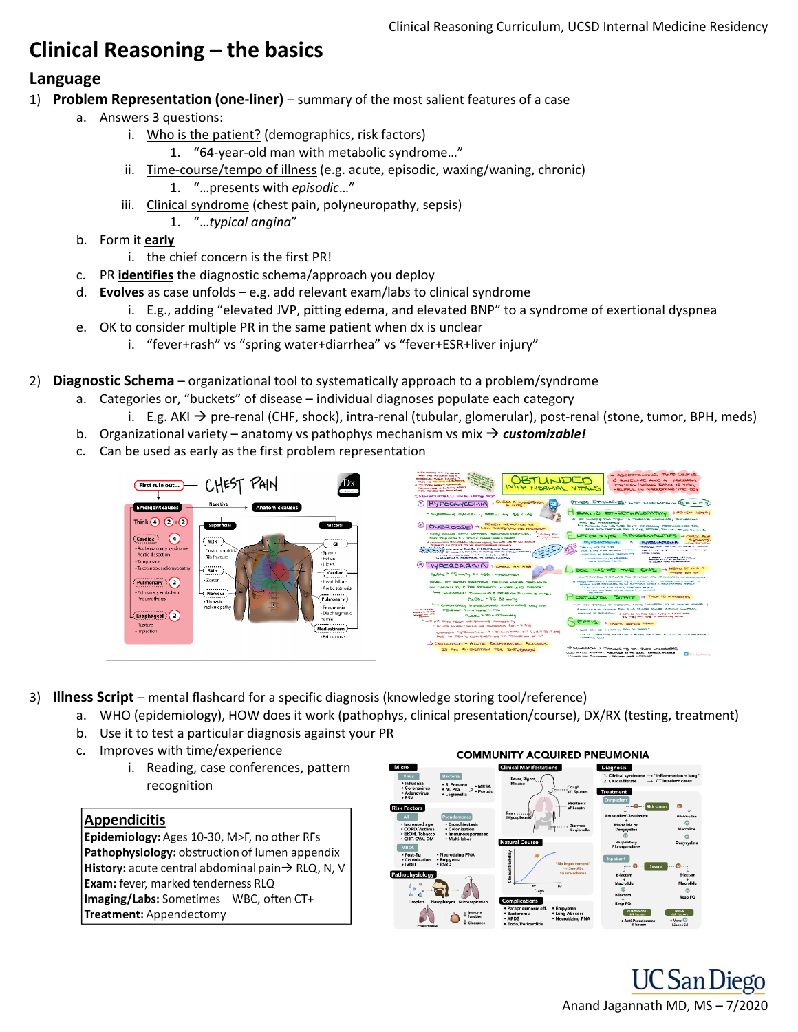# **Clinical Reasoning – the basics**

## **Language**

- 1) **Problem Representation (one-liner)** summary of the most salient features of a case
	- a. Answers 3 questions:
		- i. Who is the patient? (demographics, risk factors)
			- 1. "64-year-old man with metabolic syndrome…"
		- ii. Time-course/tempo of illness (e.g. acute, episodic, waxing/waning, chronic) 1. "…presents with *episodic*…"
		- iii. Clinical syndrome (chest pain, polyneuropathy, sepsis)
			- 1. "…*typical angina*"
	- b. Form it **early**
		- i. the chief concern is the first PR!
	- c. PR **identifies** the diagnostic schema/approach you deploy
	- d. **Evolves** as case unfolds e.g. add relevant exam/labs to clinical syndrome
		- i. E.g., adding "elevated JVP, pitting edema, and elevated BNP" to a syndrome of exertional dyspnea
	- e. OK to consider multiple PR in the same patient when dx is unclear
		- i. "fever+rash" vs "spring water+diarrhea" vs "fever+ESR+liver injury"
- 2) **Diagnostic Schema** organizational tool to systematically approach to a problem/syndrome
	- a. Categories or, "buckets" of disease individual diagnoses populate each category
		- i. E.g. AKI  $\rightarrow$  pre-renal (CHF, shock), intra-renal (tubular, glomerular), post-renal (stone, tumor, BPH, meds)
	- b. Organizational variety anatomy vs pathophys mechanism vs mix  $\rightarrow$  customizable!
	- c. Can be used as early as the first problem representation



- 3) **Illness Script** mental flashcard for a specific diagnosis (knowledge storing tool/reference)
	- a. WHO (epidemiology), HOW does it work (pathophys, clinical presentation/course), DX/RX (testing, treatment)
	- b. Use it to test a particular diagnosis against your PR
	- c. Improves with time/experience
		- i. Reading, case conferences, pattern recognition

#### **Appendicitis**

Epidemiology: Ages 10-30, M>F, no other RFs Pathophysiology: obstruction of lumen appendix History: acute central abdominal pain→ RLQ, N, V **Exam:** fever, marked tenderness RLQ Imaging/Labs: Sometimes WBC, often CT+ **Treatment:** Appendectomy





**UC** San Diego Anand Jagannath MD, MS – 7/2020